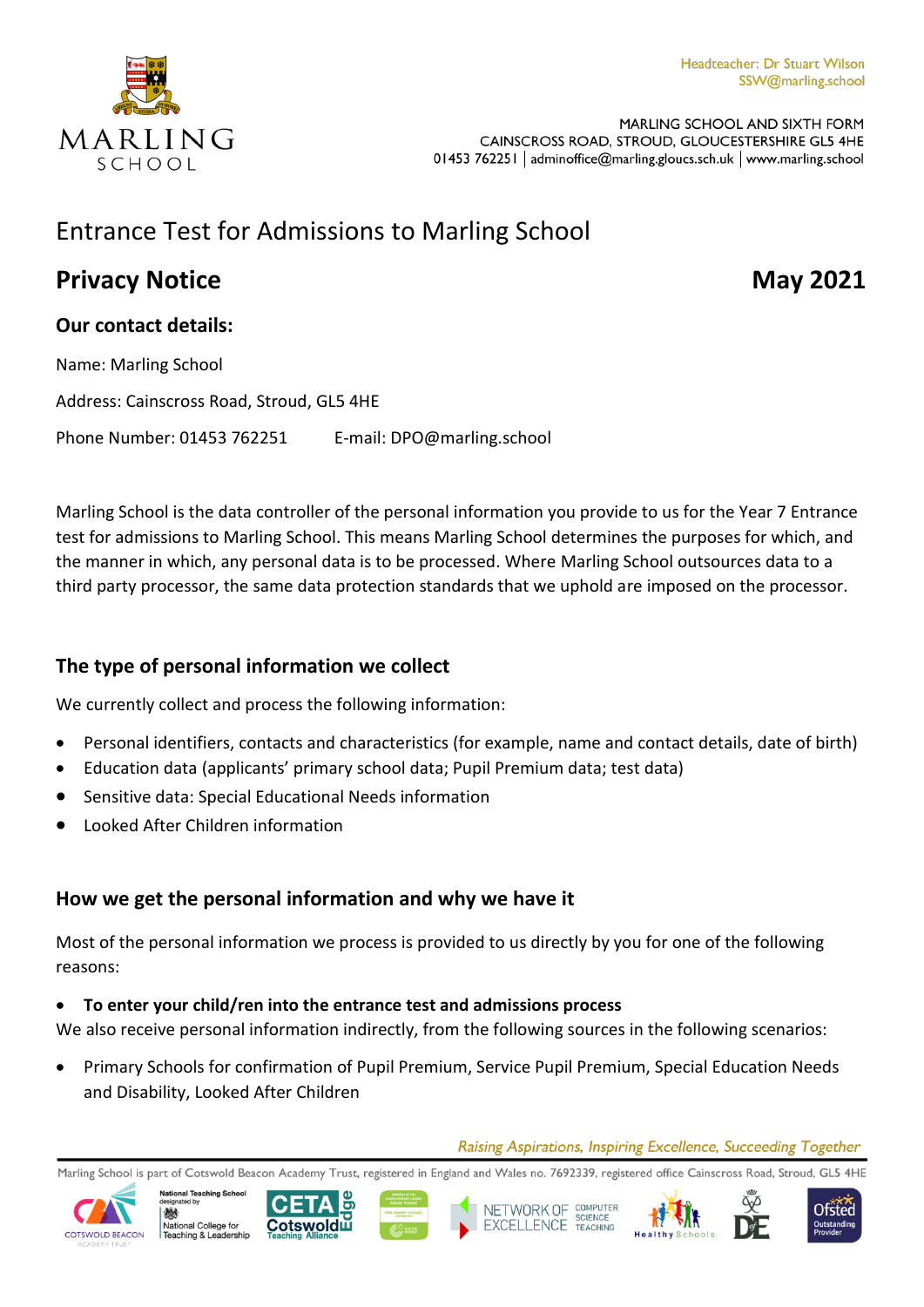

MARLING SCHOOL AND SIXTH FORM CAINSCROSS ROAD, STROUD, GLOUCESTERSHIRE GL5 4HE 01453 762251 | adminoffice@marling.gloucs.sch.uk | www.marling.school

# Entrance Test for Admissions to Marling School

# **Privacy Notice May 2021**

## **Our contact details:**

Name: Marling School Address: Cainscross Road, Stroud, GL5 4HE Phone Number: 01453 762251 E-mail: DPO@marling.school

Marling School is the data controller of the personal information you provide to us for the Year 7 Entrance test for admissions to Marling School. This means Marling School determines the purposes for which, and the manner in which, any personal data is to be processed. Where Marling School outsources data to a third party processor, the same data protection standards that we uphold are imposed on the processor.

# **The type of personal information we collect**

We currently collect and process the following information:

- Personal identifiers, contacts and characteristics (for example, name and contact details, date of birth)
- Education data (applicants' primary school data; Pupil Premium data; test data)
- Sensitive data: Special Educational Needs information
- Looked After Children information

# **How we get the personal information and why we have it**

Most of the personal information we process is provided to us directly by you for one of the following reasons:

#### **To enter your child/ren into the entrance test and admissions process**

We also receive personal information indirectly, from the following sources in the following scenarios:

 Primary Schools for confirmation of Pupil Premium, Service Pupil Premium, Special Education Needs and Disability, Looked After Children

Raising Aspirations, Inspiring Excellence, Succeeding Together

Marling School is part of Cotswold Beacon Academy Trust, registered in England and Wales no. 7692339, registered office Cainscross Road, Stroud, GL5 4HE



爀









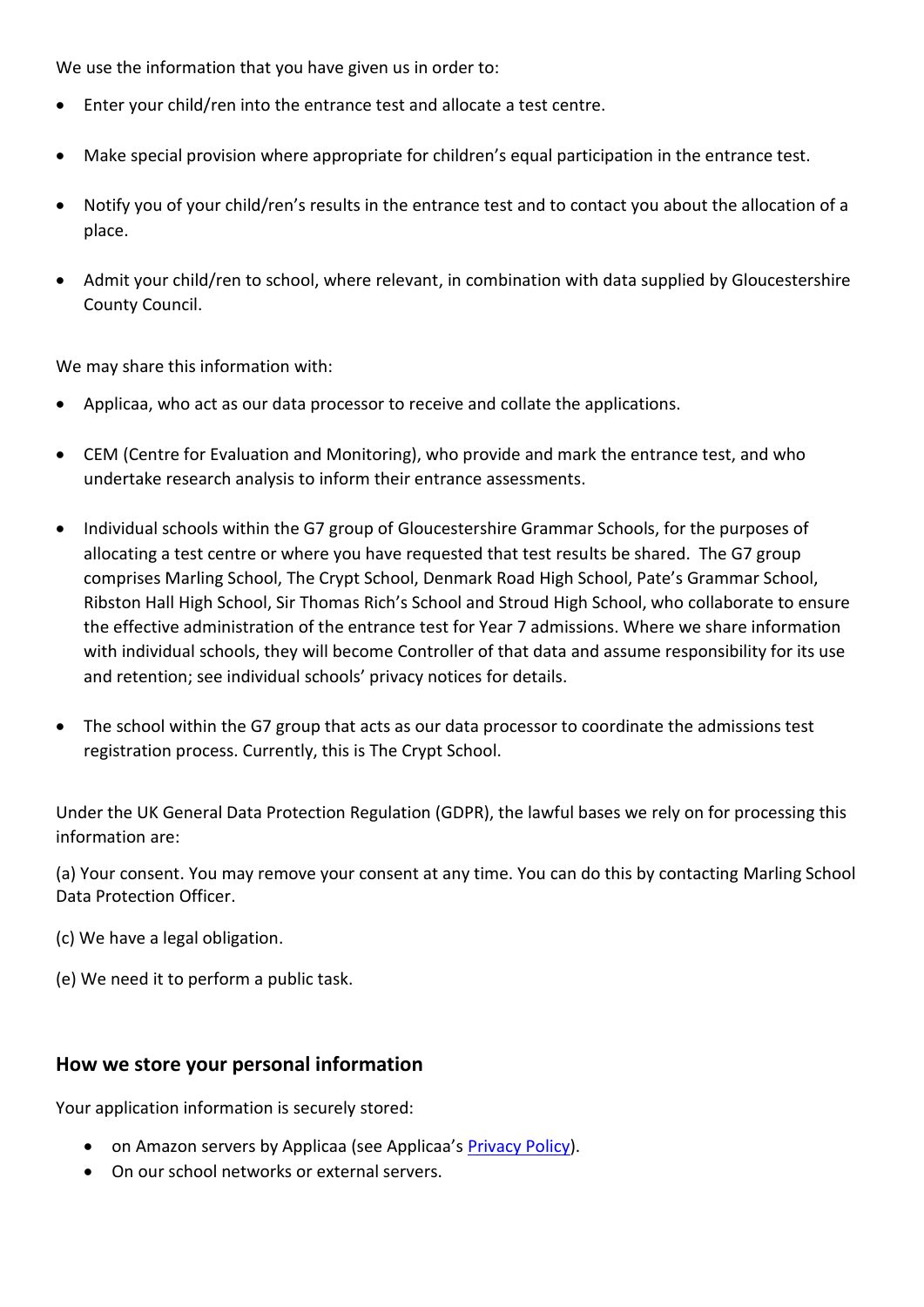We use the information that you have given us in order to:

- Enter your child/ren into the entrance test and allocate a test centre.
- Make special provision where appropriate for children's equal participation in the entrance test.
- Notify you of your child/ren's results in the entrance test and to contact you about the allocation of a place.
- Admit your child/ren to school, where relevant, in combination with data supplied by Gloucestershire County Council.

We may share this information with:

- Applicaa, who act as our data processor to receive and collate the applications.
- CEM (Centre for Evaluation and Monitoring), who provide and mark the entrance test, and who undertake research analysis to inform their entrance assessments.
- Individual schools within the G7 group of Gloucestershire Grammar Schools, for the purposes of allocating a test centre or where you have requested that test results be shared. The G7 group comprises Marling School, The Crypt School, Denmark Road High School, Pate's Grammar School, Ribston Hall High School, Sir Thomas Rich's School and Stroud High School, who collaborate to ensure the effective administration of the entrance test for Year 7 admissions. Where we share information with individual schools, they will become Controller of that data and assume responsibility for its use and retention; see individual schools' privacy notices for details.
- The school within the G7 group that acts as our data processor to coordinate the admissions test registration process. Currently, this is The Crypt School.

Under the UK General Data Protection Regulation (GDPR), the lawful bases we rely on for processing this information are:

(a) Your consent. You may remove your consent at any time. You can do this by contacting Marling School Data Protection Officer.

- (c) We have a legal obligation.
- (e) We need it to perform a public task.

#### **How we store your personal information**

Your application information is securely stored:

- on Amazon servers by Applicaa (see Applicaa's [Privacy Policy\)](https://applicaa.com/privacy-policy/).
- On our school networks or external servers.